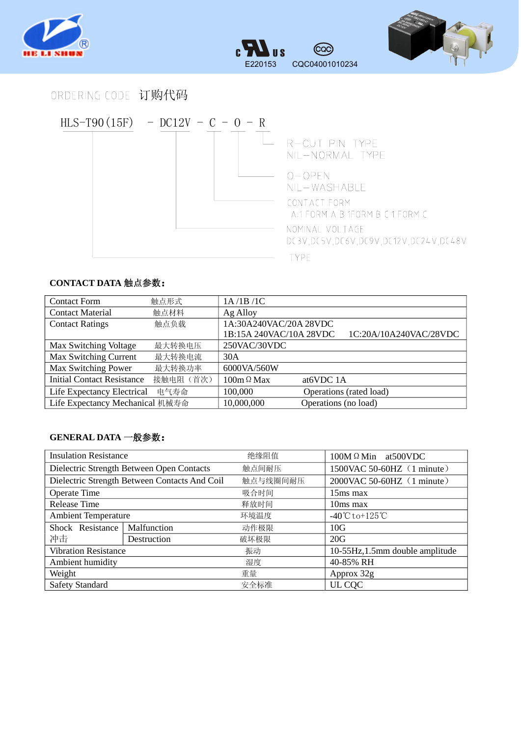





## ORDERING CODE 订购代码



## **CONTACT DATA** 触点参数:

| <b>Contact Form</b>                | 触点形式      | 1A/1B/1C                |                         |                        |
|------------------------------------|-----------|-------------------------|-------------------------|------------------------|
| <b>Contact Material</b>            | 触点材料      | Ag Alloy                |                         |                        |
| <b>Contact Ratings</b>             | 触点负载      | 1A:30A240VAC/20A 28VDC  |                         |                        |
|                                    |           | 1B:15A 240VAC/10A 28VDC |                         | 1C:20A/10A240VAC/28VDC |
| Max Switching Voltage              | 最大转换电压    | 250VAC/30VDC            |                         |                        |
| <b>Max Switching Current</b>       | 最大转换电流    | 30A                     |                         |                        |
| Max Switching Power                | 最大转换功率    | 6000VA/560W             |                         |                        |
| <b>Initial Contact Resistance</b>  | 接触电阻 (首次) | $100m \Omega$ Max       | at <sub>6</sub> VDC 1A  |                        |
| Life Expectancy Electrical<br>电气寿命 |           | 100,000                 | Operations (rated load) |                        |
| Life Expectancy Mechanical 机械寿命    |           | 10,000,000              | Operations (no load)    |                        |

## **GENERAL DATA** 一般参数:

| <b>Insulation Resistance</b>                  |             | 绝缘阻值     | $100M \Omega$ Min at 500 VDC                     |  |
|-----------------------------------------------|-------------|----------|--------------------------------------------------|--|
| Dielectric Strength Between Open Contacts     |             | 触点间耐压    | 1500VAC 50-60HZ (1 minute)                       |  |
| Dielectric Strength Between Contacts And Coil |             | 触点与线圈间耐压 | 2000VAC 50-60HZ (1 minute)                       |  |
| <b>Operate Time</b>                           |             | 吸合时间     | 15ms max                                         |  |
| <b>Release Time</b>                           |             | 释放时间     | $10ms$ max                                       |  |
| <b>Ambient Temperature</b>                    |             | 环境温度     | $-40^{\circ}\text{C}$ to +125 $^{\circ}\text{C}$ |  |
| Shock Resistance                              | Malfunction | 动作极限     | 10G                                              |  |
| 冲击                                            | Destruction | 破坏极限     | 20G                                              |  |
| <b>Vibration Resistance</b>                   |             | 振动       | 10-55Hz, 1.5mm double amplitude                  |  |
| Ambient humidity                              |             | 湿度       | 40-85% RH                                        |  |
| Weight                                        |             | 重量       | Approx 32g                                       |  |
| <b>Safety Standard</b>                        |             | 安全标准     | UL CQC                                           |  |